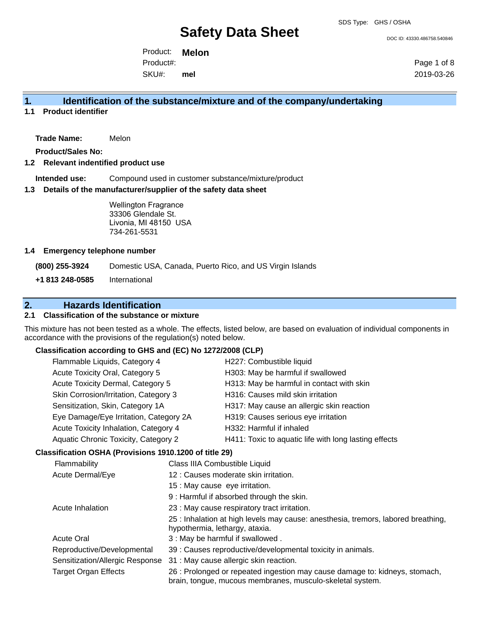#### SDS Type: GHS / OSHA

# **Safety Data Sheet**

DOC ID: 43330.486758.540846

Product: **Melon** SKU#: Product#:

**mel**

Page 1 of 8 2019-03-26

## **1. Identification of the substance/mixture and of the company/undertaking**

**1.1 Product identifier**

**Trade Name:** Melon

**Product/Sales No:**

#### **1.2 Relevant indentified product use**

**Intended use:** Compound used in customer substance/mixture/product

#### **1.3 Details of the manufacturer/supplier of the safety data sheet**

Wellington Fragrance 33306 Glendale St. Livonia, MI 48150 USA 734-261-5531

#### **1.4 Emergency telephone number**

**(800) 255-3924** Domestic USA, Canada, Puerto Rico, and US Virgin Islands **+1 813 248-0585** International

## **2. Hazards Identification**

### **2.1 Classification of the substance or mixture**

This mixture has not been tested as a whole. The effects, listed below, are based on evaluation of individual components in accordance with the provisions of the regulation(s) noted below.

### **Classification according to GHS and (EC) No 1272/2008 (CLP)**

|                             | Flammable Liquids, Category 4<br>Acute Toxicity Oral, Category 5<br>Acute Toxicity Dermal, Category 5<br>Skin Corrosion/Irritation, Category 3 |                               | H227: Combustible liquid                                                                                                                 |
|-----------------------------|------------------------------------------------------------------------------------------------------------------------------------------------|-------------------------------|------------------------------------------------------------------------------------------------------------------------------------------|
|                             |                                                                                                                                                |                               | H303: May be harmful if swallowed                                                                                                        |
|                             |                                                                                                                                                |                               | H313: May be harmful in contact with skin                                                                                                |
|                             |                                                                                                                                                |                               | H316: Causes mild skin irritation                                                                                                        |
|                             | Sensitization, Skin, Category 1A                                                                                                               |                               | H317: May cause an allergic skin reaction                                                                                                |
|                             | Eye Damage/Eye Irritation, Category 2A                                                                                                         |                               | H319: Causes serious eye irritation                                                                                                      |
|                             | Acute Toxicity Inhalation, Category 4                                                                                                          |                               | H332: Harmful if inhaled                                                                                                                 |
|                             | Aquatic Chronic Toxicity, Category 2                                                                                                           |                               | H411: Toxic to aquatic life with long lasting effects                                                                                    |
|                             | Classification OSHA (Provisions 1910.1200 of title 29)                                                                                         |                               |                                                                                                                                          |
|                             | Flammability                                                                                                                                   | Class IIIA Combustible Liquid |                                                                                                                                          |
|                             | Acute Dermal/Eye<br>15 : May cause eye irritation.<br>Acute Inhalation<br>hypothermia, lethargy, ataxia.<br><b>Acute Oral</b>                  |                               | 12 : Causes moderate skin irritation.                                                                                                    |
|                             |                                                                                                                                                |                               |                                                                                                                                          |
|                             |                                                                                                                                                |                               | 9 : Harmful if absorbed through the skin.                                                                                                |
|                             |                                                                                                                                                |                               | 23 : May cause respiratory tract irritation.                                                                                             |
|                             |                                                                                                                                                |                               | 25 : Inhalation at high levels may cause: anesthesia, tremors, labored breathing,                                                        |
|                             |                                                                                                                                                |                               | 3 : May be harmful if swallowed.                                                                                                         |
|                             | Reproductive/Developmental                                                                                                                     |                               | 39 : Causes reproductive/developmental toxicity in animals.                                                                              |
|                             | Sensitization/Allergic Response                                                                                                                |                               | 31 : May cause allergic skin reaction.                                                                                                   |
| <b>Target Organ Effects</b> |                                                                                                                                                |                               | 26 : Prolonged or repeated ingestion may cause damage to: kidneys, stomach,<br>brain, tongue, mucous membranes, musculo-skeletal system. |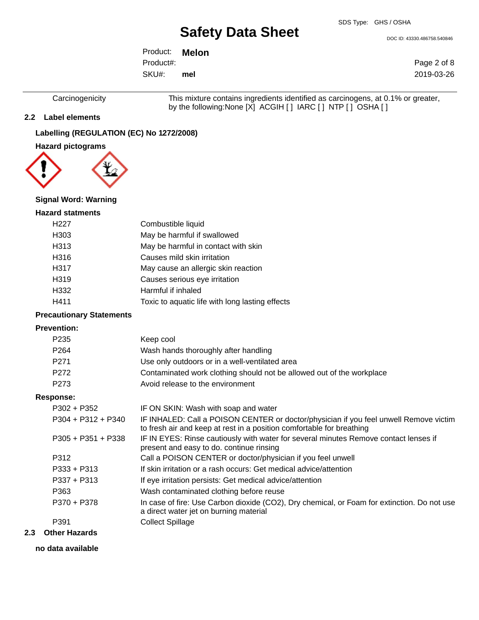SDS Type: GHS / OSHA

DOC ID: 43330.486758.540846

Product: **Melon** SKU#: Product#: **mel**

Page 2 of 8 2019-03-26

Carcinogenicity This mixture contains ingredients identified as carcinogens, at 0.1% or greater, by the following:None [X] ACGIH [ ] IARC [ ] NTP [ ] OSHA [ ]

### **2.2 Label elements**

## **Labelling (REGULATION (EC) No 1272/2008)**

#### **Hazard pictograms**



#### **Signal Word: Warning**

#### **Hazard statments**

| H <sub>22</sub> 7 | Combustible liquid                              |
|-------------------|-------------------------------------------------|
| H303              | May be harmful if swallowed                     |
| H313              | May be harmful in contact with skin             |
| H316              | Causes mild skin irritation                     |
| H317              | May cause an allergic skin reaction             |
| H319              | Causes serious eye irritation                   |
| H332              | Harmful if inhaled                              |
| H411              | Toxic to aquatic life with long lasting effects |

### **Precautionary Statements**

#### **Prevention:**

| Keep cool                                                             |
|-----------------------------------------------------------------------|
| Wash hands thoroughly after handling                                  |
| Use only outdoors or in a well-ventilated area                        |
| Contaminated work clothing should not be allowed out of the workplace |
| Avoid release to the environment                                      |
|                                                                       |

#### **Response:**

| P302 + P352          | IF ON SKIN: Wash with soap and water                                                                                                                           |
|----------------------|----------------------------------------------------------------------------------------------------------------------------------------------------------------|
| $P304 + P312 + P340$ | IF INHALED: Call a POISON CENTER or doctor/physician if you feel unwell Remove victim<br>to fresh air and keep at rest in a position comfortable for breathing |
| $P305 + P351 + P338$ | IF IN EYES: Rinse cautiously with water for several minutes Remove contact lenses if<br>present and easy to do. continue rinsing                               |
| P312                 | Call a POISON CENTER or doctor/physician if you feel unwell                                                                                                    |
| P333 + P313          | If skin irritation or a rash occurs: Get medical advice/attention                                                                                              |
| P337 + P313          | If eye irritation persists: Get medical advice/attention                                                                                                       |
| P363                 | Wash contaminated clothing before reuse                                                                                                                        |
| P370 + P378          | In case of fire: Use Carbon dioxide (CO2), Dry chemical, or Foam for extinction. Do not use<br>a direct water jet on burning material                          |
| P391                 | Collect Spillage                                                                                                                                               |
|                      |                                                                                                                                                                |

#### **2.3 Other Hazards**

#### **no data available**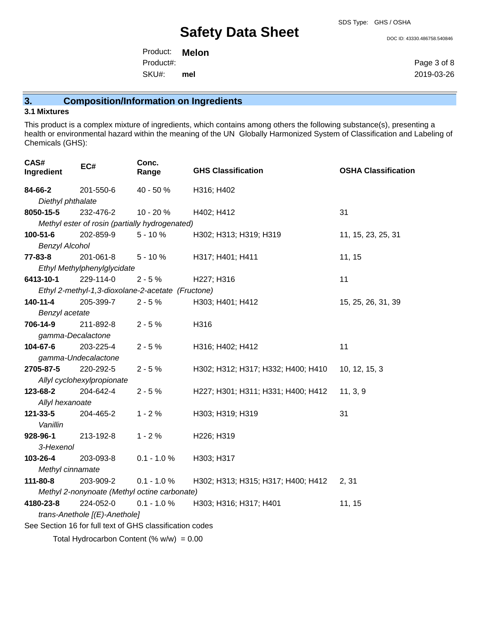#### DOC ID: 43330.486758.540846

Product: **Melon** SKU#: Product#: **mel**

Page 3 of 8 2019-03-26

## **3. Composition/Information on Ingredients**

#### **3.1 Mixtures**

This product is a complex mixture of ingredients, which contains among others the following substance(s), presenting a health or environmental hazard within the meaning of the UN Globally Harmonized System of Classification and Labeling of Chemicals (GHS):

| CAS#<br>Ingredient                          | EC#                                                      | Conc.<br>Range | <b>GHS Classification</b>          | <b>OSHA Classification</b> |  |
|---------------------------------------------|----------------------------------------------------------|----------------|------------------------------------|----------------------------|--|
| 84-66-2                                     | 201-550-6                                                | 40 - 50 %      | H316; H402                         |                            |  |
| Diethyl phthalate                           |                                                          |                |                                    |                            |  |
| 8050-15-5                                   | 232-476-2                                                | 10 - 20 %      | H402; H412                         | 31                         |  |
|                                             | Methyl ester of rosin (partially hydrogenated)           |                |                                    |                            |  |
| 100-51-6                                    | 202-859-9                                                | $5 - 10%$      | H302; H313; H319; H319             | 11, 15, 23, 25, 31         |  |
| <b>Benzyl Alcohol</b>                       |                                                          |                |                                    |                            |  |
| 77-83-8                                     | 201-061-8                                                | $5 - 10%$      | H317; H401; H411                   | 11, 15                     |  |
|                                             | Ethyl Methylphenylglycidate                              |                |                                    |                            |  |
| 6413-10-1                                   | 229-114-0                                                | $2 - 5%$       | H227; H316                         | 11                         |  |
|                                             | Ethyl 2-methyl-1,3-dioxolane-2-acetate (Fructone)        |                |                                    |                            |  |
| 140-11-4                                    | 205-399-7                                                | $2 - 5%$       | H303; H401; H412                   | 15, 25, 26, 31, 39         |  |
| Benzyl acetate                              |                                                          |                |                                    |                            |  |
| 706-14-9                                    | 211-892-8                                                | $2 - 5%$       | H316                               |                            |  |
| gamma-Decalactone                           |                                                          |                |                                    |                            |  |
| 104-67-6                                    | 203-225-4                                                | $2 - 5%$       | H316; H402; H412                   | 11                         |  |
|                                             | gamma-Undecalactone                                      |                |                                    |                            |  |
| 2705-87-5                                   | 220-292-5                                                | $2 - 5%$       | H302; H312; H317; H332; H400; H410 | 10, 12, 15, 3              |  |
|                                             | Allyl cyclohexylpropionate                               |                |                                    |                            |  |
| 123-68-2                                    | 204-642-4                                                | $2 - 5%$       | H227; H301; H311; H331; H400; H412 | 11, 3, 9                   |  |
| Allyl hexanoate                             |                                                          |                |                                    |                            |  |
| 121-33-5                                    | 204-465-2                                                | $1 - 2%$       | H303; H319; H319                   | 31                         |  |
| Vanillin                                    |                                                          |                |                                    |                            |  |
| 928-96-1                                    | 213-192-8                                                | $1 - 2%$       | H226; H319                         |                            |  |
| 3-Hexenol                                   |                                                          |                |                                    |                            |  |
| 103-26-4                                    | 203-093-8                                                | $0.1 - 1.0 %$  | H303; H317                         |                            |  |
| Methyl cinnamate                            |                                                          |                |                                    |                            |  |
| 111-80-8                                    | 203-909-2                                                | $0.1 - 1.0 %$  | H302; H313; H315; H317; H400; H412 | 2, 31                      |  |
|                                             | Methyl 2-nonynoate (Methyl octine carbonate)             |                |                                    |                            |  |
| 4180-23-8                                   | 224-052-0                                                | $0.1 - 1.0 %$  | H303; H316; H317; H401             | 11, 15                     |  |
|                                             | trans-Anethole [(E)-Anethole]                            |                |                                    |                            |  |
|                                             | See Section 16 for full text of GHS classification codes |                |                                    |                            |  |
| Total Hydrocarbon Content (% $w/w$ ) = 0.00 |                                                          |                |                                    |                            |  |
|                                             |                                                          |                |                                    |                            |  |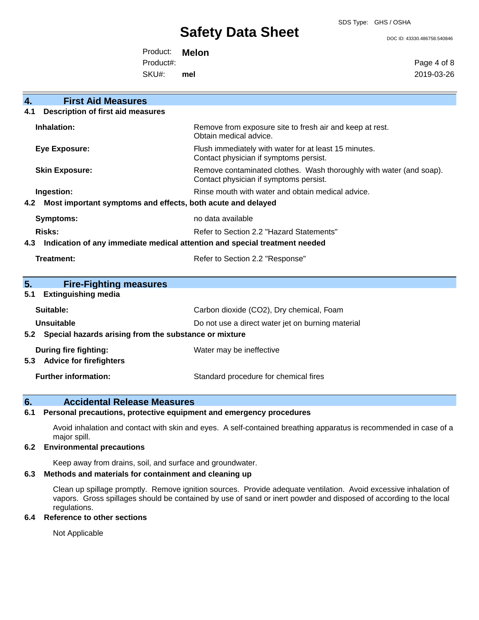#### SDS Type: GHS / OSHA

## **Safety Data Sheet**

DOC ID: 43330.486758.540846

Product: **Melon**

Product#:

SKU#: **mel** Page 4 of 8 2019-03-26

| 4.  | <b>First Aid Measures</b>                                                  |                                                                                                               |  |
|-----|----------------------------------------------------------------------------|---------------------------------------------------------------------------------------------------------------|--|
| 4.1 | Description of first aid measures                                          |                                                                                                               |  |
|     | Inhalation:                                                                | Remove from exposure site to fresh air and keep at rest.<br>Obtain medical advice.                            |  |
|     | <b>Eye Exposure:</b>                                                       | Flush immediately with water for at least 15 minutes.<br>Contact physician if symptoms persist.               |  |
|     | <b>Skin Exposure:</b>                                                      | Remove contaminated clothes. Wash thoroughly with water (and soap).<br>Contact physician if symptoms persist. |  |
|     | Ingestion:                                                                 | Rinse mouth with water and obtain medical advice.                                                             |  |
| 4.2 | Most important symptoms and effects, both acute and delayed                |                                                                                                               |  |
|     | <b>Symptoms:</b>                                                           | no data available                                                                                             |  |
|     | <b>Risks:</b>                                                              | Refer to Section 2.2 "Hazard Statements"                                                                      |  |
|     | Indication of any immediate medical attention and special treatment needed |                                                                                                               |  |
| 4.3 |                                                                            |                                                                                                               |  |
|     | Treatment:                                                                 | Refer to Section 2.2 "Response"                                                                               |  |
|     |                                                                            |                                                                                                               |  |
| 5.  | <b>Fire-Fighting measures</b>                                              |                                                                                                               |  |
| 5.1 | <b>Extinguishing media</b>                                                 |                                                                                                               |  |
|     | Suitable:                                                                  | Carbon dioxide (CO2), Dry chemical, Foam                                                                      |  |
|     | <b>Unsuitable</b>                                                          | Do not use a direct water jet on burning material                                                             |  |
| 5.2 | Special hazards arising from the substance or mixture                      |                                                                                                               |  |
|     | <b>During fire fighting:</b>                                               | Water may be ineffective                                                                                      |  |
| 5.3 | <b>Advice for firefighters</b>                                             |                                                                                                               |  |

## **6. Accidental Release Measures**

**6.1 Personal precautions, protective equipment and emergency procedures**

Avoid inhalation and contact with skin and eyes. A self-contained breathing apparatus is recommended in case of a major spill.

#### **6.2 Environmental precautions**

Keep away from drains, soil, and surface and groundwater.

#### **6.3 Methods and materials for containment and cleaning up**

Clean up spillage promptly. Remove ignition sources. Provide adequate ventilation. Avoid excessive inhalation of vapors. Gross spillages should be contained by use of sand or inert powder and disposed of according to the local regulations.

#### **6.4 Reference to other sections**

Not Applicable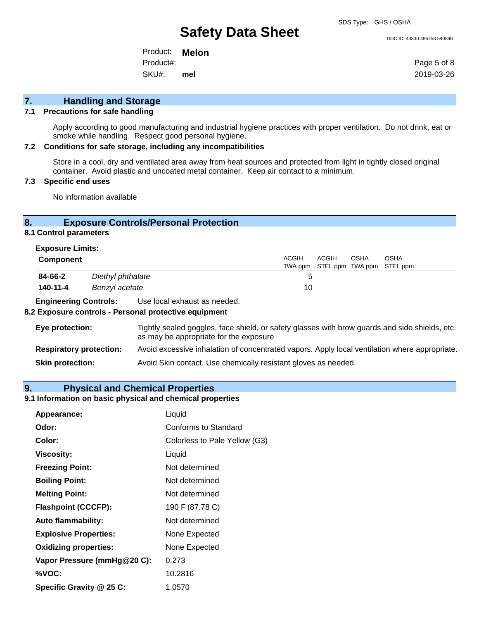SDS Type: GHS / OSHA

DOC ID: 43330.486758.540846

Product: **Melon** SKU#: Product#: **mel**

Page 5 of 8 2019-03-26

## **7. Handling and Storage**

#### **7.1 Precautions for safe handling**

Apply according to good manufacturing and industrial hygiene practices with proper ventilation. Do not drink, eat or smoke while handling. Respect good personal hygiene.

#### **7.2 Conditions for safe storage, including any incompatibilities**

Store in a cool, dry and ventilated area away from heat sources and protected from light in tightly closed original container. Avoid plastic and uncoated metal container. Keep air contact to a minimum.

#### **7.3 Specific end uses**

No information available

### **8. Exposure Controls/Personal Protection**

#### **8.1 Control parameters**

| <b>Exposure Limits:</b>      |                   |                              |       |                                   |      |  |  |
|------------------------------|-------------------|------------------------------|-------|-----------------------------------|------|--|--|
| <b>Component</b>             |                   | ACGIH                        | ACGIH | OSHA                              | OSHA |  |  |
|                              |                   |                              |       | TWA ppm STEL ppm TWA ppm STEL ppm |      |  |  |
| 84-66-2                      | Diethyl phthalate |                              | 5     |                                   |      |  |  |
| 140-11-4                     | Benzyl acetate    |                              | 10    |                                   |      |  |  |
| <b>Engineering Controls:</b> |                   | Use local exhaust as needed. |       |                                   |      |  |  |

#### **8.2 Exposure controls - Personal protective equipment**

| Eye protection:                | Tightly sealed goggles, face shield, or safety glasses with brow guards and side shields, etc.<br>as may be appropriate for the exposure |
|--------------------------------|------------------------------------------------------------------------------------------------------------------------------------------|
| <b>Respiratory protection:</b> | Avoid excessive inhalation of concentrated vapors. Apply local ventilation where appropriate.                                            |
| <b>Skin protection:</b>        | Avoid Skin contact. Use chemically resistant gloves as needed.                                                                           |

#### **9. Physical and Chemical Properties**

#### **9.1 Information on basic physical and chemical properties**

| Appearance:                  | Liquid                        |
|------------------------------|-------------------------------|
| Odor:                        | <b>Conforms to Standard</b>   |
| Color:                       | Colorless to Pale Yellow (G3) |
| <b>Viscosity:</b>            | Liquid                        |
| <b>Freezing Point:</b>       | Not determined                |
| <b>Boiling Point:</b>        | Not determined                |
| <b>Melting Point:</b>        | Not determined                |
| <b>Flashpoint (CCCFP):</b>   | 190 F (87.78 C)               |
| <b>Auto flammability:</b>    | Not determined                |
| <b>Explosive Properties:</b> | None Expected                 |
| <b>Oxidizing properties:</b> | None Expected                 |
| Vapor Pressure (mmHg@20 C):  | 0.273                         |
| %VOC:                        | 10.2816                       |
| Specific Gravity @ 25 C:     | 1.0570                        |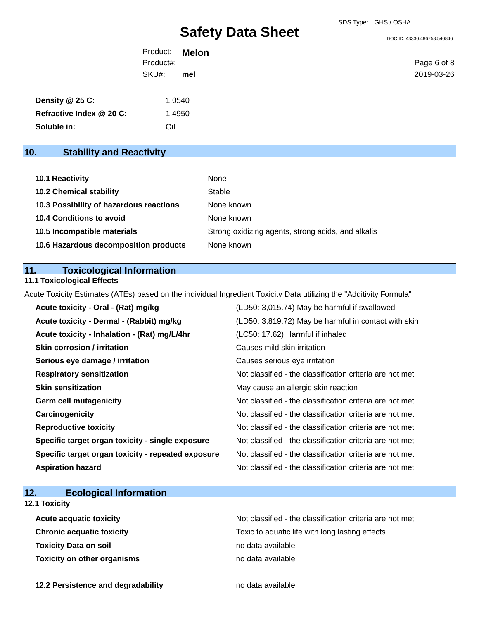DOC ID: 43330.486758.540846

| Product: <b>Melon</b> |     |             |
|-----------------------|-----|-------------|
| Product#:             |     | Page 6 of 8 |
| SKU#:                 | mel | 2019-03-26  |

| Density $@25C$ :         | 1.0540 |
|--------------------------|--------|
| Refractive Index @ 20 C: | 1.4950 |
| Soluble in:              | Oil    |

## **10. Stability and Reactivity**

| 10.1 Reactivity                         | None                                               |
|-----------------------------------------|----------------------------------------------------|
| <b>10.2 Chemical stability</b>          | Stable                                             |
| 10.3 Possibility of hazardous reactions | None known                                         |
| 10.4 Conditions to avoid                | None known                                         |
| 10.5 Incompatible materials             | Strong oxidizing agents, strong acids, and alkalis |
| 10.6 Hazardous decomposition products   | None known                                         |

## **11. Toxicological Information**

**11.1 Toxicological Effects**

Acute Toxicity Estimates (ATEs) based on the individual Ingredient Toxicity Data utilizing the "Additivity Formula"

| Acute toxicity - Oral - (Rat) mg/kg                | (LD50: 3,015.74) May be harmful if swallowed             |
|----------------------------------------------------|----------------------------------------------------------|
| Acute toxicity - Dermal - (Rabbit) mg/kg           | (LD50: 3,819.72) May be harmful in contact with skin     |
| Acute toxicity - Inhalation - (Rat) mg/L/4hr       | (LC50: 17.62) Harmful if inhaled                         |
| Skin corrosion / irritation                        | Causes mild skin irritation                              |
| Serious eye damage / irritation                    | Causes serious eye irritation                            |
| <b>Respiratory sensitization</b>                   | Not classified - the classification criteria are not met |
| <b>Skin sensitization</b>                          | May cause an allergic skin reaction                      |
| <b>Germ cell mutagenicity</b>                      | Not classified - the classification criteria are not met |
| Carcinogenicity                                    | Not classified - the classification criteria are not met |
| <b>Reproductive toxicity</b>                       | Not classified - the classification criteria are not met |
| Specific target organ toxicity - single exposure   | Not classified - the classification criteria are not met |
| Specific target organ toxicity - repeated exposure | Not classified - the classification criteria are not met |
| <b>Aspiration hazard</b>                           | Not classified - the classification criteria are not met |

## **12. Ecological Information**

**12.1 Toxicity**

**Toxicity Data on soil no data available no data available Toxicity on other organisms** no data available

Acute acquatic toxicity **Acute acquatic toxicity** Not classified - the classification criteria are not met **Chronic acquatic toxicity Toxic to aquatic life with long lasting effects** 

**12.2 Persistence and degradability no data available**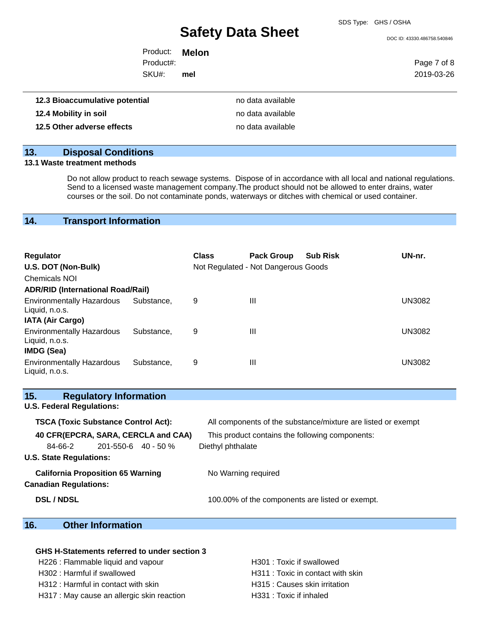DOC ID: 43330.486758.540846

| Product:  | <b>Melon</b> |
|-----------|--------------|
| Product#: |              |
| SKU#:     | mel          |

Page 7 of 8 2019-03-26

| 12.3 Bioaccumulative potential | no data available |
|--------------------------------|-------------------|
| 12.4 Mobility in soil          | no data available |
| 12.5 Other adverse effects     | no data available |

## **13. Disposal Conditions**

### **13.1 Waste treatment methods**

Do not allow product to reach sewage systems. Dispose of in accordance with all local and national regulations. Send to a licensed waste management company.The product should not be allowed to enter drains, water courses or the soil. Do not contaminate ponds, waterways or ditches with chemical or used container.

## **14. Transport Information**

| <b>Regulator</b>                                                 |            | <b>Class</b> | <b>Pack Group</b>                   | <b>Sub Risk</b> | UN-nr. |
|------------------------------------------------------------------|------------|--------------|-------------------------------------|-----------------|--------|
| U.S. DOT (Non-Bulk)                                              |            |              | Not Regulated - Not Dangerous Goods |                 |        |
| <b>Chemicals NOI</b>                                             |            |              |                                     |                 |        |
| <b>ADR/RID (International Road/Rail)</b>                         |            |              |                                     |                 |        |
| <b>Environmentally Hazardous</b><br>Liquid, n.o.s.               | Substance. | 9            | $\mathbf{III}$                      |                 | UN3082 |
| <b>IATA (Air Cargo)</b>                                          |            |              |                                     |                 |        |
| <b>Environmentally Hazardous</b><br>Liquid, n.o.s.<br>IMDG (Sea) | Substance. | 9            | $\mathbf{III}$                      |                 | UN3082 |
| <b>Environmentally Hazardous</b><br>Liquid, n.o.s.               | Substance. | 9            | Ш                                   |                 | UN3082 |

| 15.<br><b>Regulatory Information</b>                                     |                                                              |
|--------------------------------------------------------------------------|--------------------------------------------------------------|
| <b>U.S. Federal Regulations:</b>                                         |                                                              |
| <b>TSCA (Toxic Substance Control Act):</b>                               | All components of the substance/mixture are listed or exempt |
| 40 CFR(EPCRA, SARA, CERCLA and CAA)                                      | This product contains the following components:              |
| $201 - 550 - 6$ 40 - 50 %<br>84-66-2                                     | Diethyl phthalate                                            |
| <b>U.S. State Regulations:</b>                                           |                                                              |
| <b>California Proposition 65 Warning</b><br><b>Canadian Regulations:</b> | No Warning required                                          |
| <b>DSL / NDSL</b>                                                        | 100.00% of the components are listed or exempt.              |

## **16. Other Information**

### **GHS H-Statements referred to under section 3**

H226 : Flammable liquid and vapour **H301** : Toxic if swallowed H302 : Harmful if swallowed **H311** : Toxic in contact with skin

H312 : Harmful in contact with skin History Muslim H315 : Causes skin irritation

H317 : May cause an allergic skin reaction H331 : Toxic if inhaled